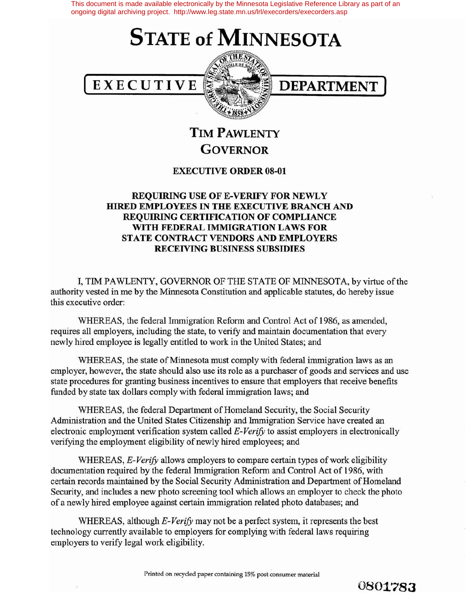This document is made available electronically by the Minnesota Legislative Reference Library as part of an ongoing digital archiving project. http://www.leg.state.mn.us/lrl/execorders/execorders.asp

## **STATE of MINNESOTA**





**TIM PAWLENTY GOVERNOR**

## **EXECUTIVE ORDER 08-01**

## **REQUIRING USE OF E-VERIFY FOR NEWLY HIRED EMPLOYEES IN THE EXECUTIVE BRANCH AND REQUIRING CERTIFICATION OF COMPLIANCE WITH FEDERAL IMMIGRATION LAWS FOR STATE CONTRACT VENDORS AND EMPLOYERS RECEIVING BUSINESS SUBSIDIES**

I, TIM PAWLENTY, GOVERNOR OF THE STATE OF MINNESOTA, by virtue ofthe authority vested in me by the Minnesota Constitution and applicable statutes, do hereby issue this executive order:

WHEREAS, the federal Immigration Reform and Control Act of 1986, as amended, requires all employers, including the state, to verify and maintain documentation that every newly hired employee is legally entitled to work in the United States; and

WHEREAS, the state of Minnesota must comply with federal immigration laws as an employer, however, the state should also use its role as a purchaser of goods and services and use state procedures for granting business incentives to ensure that employers that receive benefits funded by state tax dollars comply with federal immigration laws; and

WHEREAS, the federal Department of Homeland Security, the Social Security Administration and the United States Citizenship and Immigration Service have created an electronic employment verification system called *E-Verify* to assist employers in electronically verifying the employment eligibility of newly hired employees; and

WHEREAS, *E-Verify* allows employers to compare certain types of work eligibility documentation required by the federal Immigration Reform and Control Act of 1986, with certain records maintained by the Social Security Administration and Department ofHomeland Security, and includes a new photo screening tool which allows an employer to check the photo of a newly hired employee against certain immigration related photo databases; and

WHEREAS, although *E-Verify* may not be a perfect system, it represents the best technology currently available to employers for complying with federal laws requiring employers to verify legal work eligibility.

Printed on recycled paper containing 15% post consumer material

**0801783**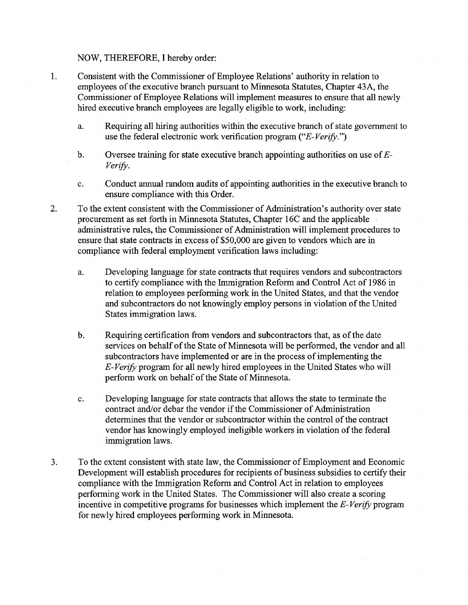## NOW, THEREFORE, I hereby order:

- 1. Consistent with the Commissioner of Employee Relations' authority in relation to employees of the executive branch pursuant to Minnesota Statutes, Chapter 43A, the Commissioner of Employee Relations will implement measures to ensure that all newly hired executive branch employees are legally eligible to work, including:
	- a. Requiring all hiring authorities within the executive branch of state government to use the federal electronic work verification program *("E- Verify.")*
	- b. Oversee training for state executive branch appointing authorities on use of*E-Verify.*
	- c. Conduct annual random audits of appointing authorities in the executive branch to ensure compliance with this Order.
- 2. To the extent consistent with the Commissioner of Administration's authority over state procurement as set forth in Minnesota Statutes, Chapter 16C and the applicable administrative rules, the Commissioner of Administration will implement procedures to ensure that state contracts in excess of \$50,000 are given to vendors which are in compliance with federal employment verification laws including:
	- a. Developing language for state contracts that requires vendors and subcontractors to certify compliance with the Immigration Reform and Control Act of 1986 in relation to employees performing work in the United States, and that the vendor and subcontractors do not knowingly employ persons in violation ofthe United States immigration laws.
	- b. Requiring certification from vendors and subcontractors that, as of the date services on behalf of the State of Minnesota will be performed, the vendor and all subcontractors have implemented or are in the process of implementing the *E-Verify* program for all newly hired employees in the United States who will perform work on behalf of the State of Minnesota.
	- c. Developing language for state contracts that allows the state to terminate the contract and/or debar the vendor if the Commissioner of Administration determines that the vendor or subcontractor within the control of the contract vendor has knowingly employed ineligible workers in violation of the federal immigration laws.
- 3. To the extent consistent with state law, the Commissioner ofEmployment and Economic Development will establish procedures for recipients of business subsidies to certify their compliance with the Immigration Reform and Control Act in relation to employees performing work in the United States. The Commissioner will also create a scoring incentive in competitive programs for businesses which implement the *E-Verify* program for newly hired employees performing work in Minnesota.